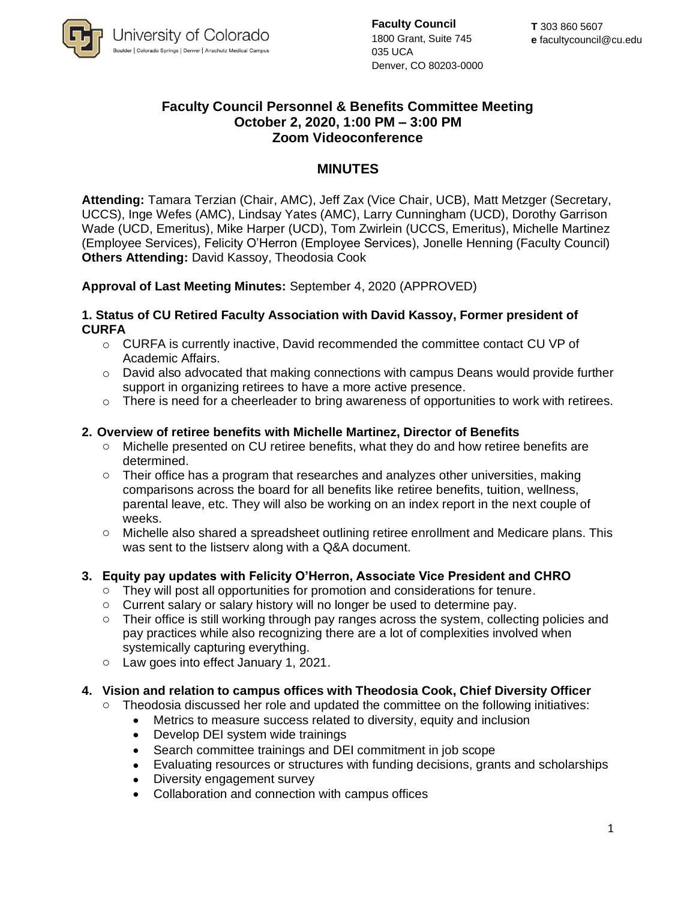

**Faculty Council** 1800 Grant, Suite 745 035 UCA Denver, CO 80203-0000

# **Faculty Council Personnel & Benefits Committee Meeting October 2, 2020, 1:00 PM – 3:00 PM Zoom Videoconference**

# **MINUTES**

**Attending:** Tamara Terzian (Chair, AMC), Jeff Zax (Vice Chair, UCB), Matt Metzger (Secretary, UCCS), Inge Wefes (AMC), Lindsay Yates (AMC), Larry Cunningham (UCD), Dorothy Garrison Wade (UCD, Emeritus), Mike Harper (UCD), Tom Zwirlein (UCCS, Emeritus), Michelle Martinez (Employee Services), Felicity O'Herron (Employee Services), Jonelle Henning (Faculty Council) **Others Attending:** David Kassoy, Theodosia Cook

# **Approval of Last Meeting Minutes:** September 4, 2020 (APPROVED)

#### **1. Status of CU Retired Faculty Association with David Kassoy, Former president of CURFA**

- o CURFA is currently inactive, David recommended the committee contact CU VP of Academic Affairs.
- $\circ$  David also advocated that making connections with campus Deans would provide further support in organizing retirees to have a more active presence.
- $\circ$  There is need for a cheerleader to bring awareness of opportunities to work with retirees.

## **2. Overview of retiree benefits with Michelle Martinez, Director of Benefits**

- $\circ$  Michelle presented on CU retiree benefits, what they do and how retiree benefits are determined.
- $\circ$  Their office has a program that researches and analyzes other universities, making comparisons across the board for all benefits like retiree benefits, tuition, wellness, parental leave, etc. They will also be working on an index report in the next couple of weeks.
- o Michelle also shared a spreadsheet outlining retiree enrollment and Medicare plans. This was sent to the listserv along with a Q&A document.

## **3. Equity pay updates with Felicity O'Herron, Associate Vice President and CHRO**

- $\circ$  They will post all opportunities for promotion and considerations for tenure.
- o Current salary or salary history will no longer be used to determine pay.
- Their office is still working through pay ranges across the system, collecting policies and pay practices while also recognizing there are a lot of complexities involved when systemically capturing everything.
- o Law goes into effect January 1, 2021.

## **4. Vision and relation to campus offices with Theodosia Cook, Chief Diversity Officer**

- Theodosia discussed her role and updated the committee on the following initiatives:
	- Metrics to measure success related to diversity, equity and inclusion
	- Develop DEI system wide trainings
	- Search committee trainings and DEI commitment in job scope
	- Evaluating resources or structures with funding decisions, grants and scholarships
	- Diversity engagement survey
	- Collaboration and connection with campus offices